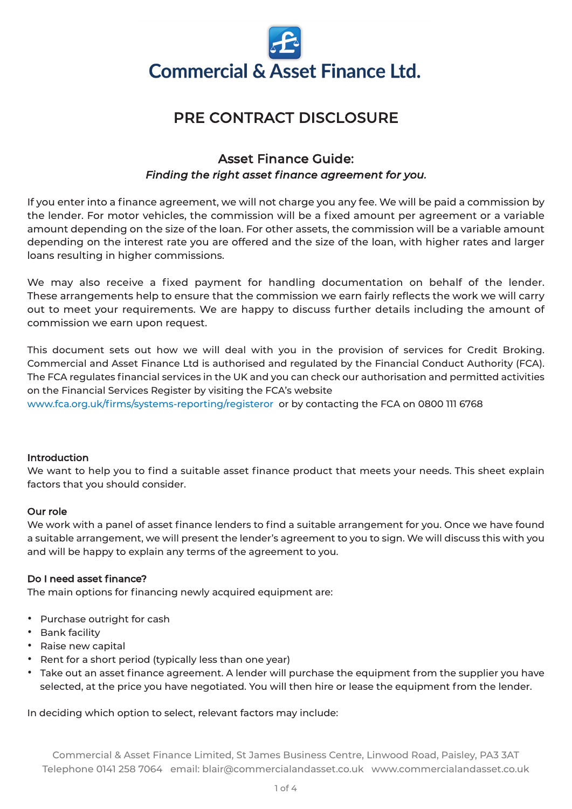

# PRE CONTRACT DISCLOSURE

# Asset Finance Guide: *Finding the right asset finance agreement for you.*

If you enter into a finance agreement, we will not charge you any fee. We will be paid a commission by the lender. For motor vehicles, the commission will be a fixed amount per agreement or a variable amount depending on the size of the loan. For other assets, the commission will be a variable amount depending on the interest rate you are offered and the size of the loan, with higher rates and larger loans resulting in higher commissions.

We may also receive a fixed payment for handling documentation on behalf of the lender. These arrangements help to ensure that the commission we earn fairly reflects the work we will carry out to meet your requirements. We are happy to discuss further details including the amount of commission we earn upon request.

This document sets out how we will deal with you in the provision of services for Credit Broking. Commercial and Asset Finance Ltd is authorised and regulated by the Financial Conduct Authority (FCA). The FCA regulates financial services in the UK and you can check our authorisation and permitted activities on the Financial Services Register by visiting the FCA's website <www.fca.org.uk/firms/systems-reporting/registeror> or by contacting the FCA on 0800 111 6768

#### Introduction

We want to help you to find a suitable asset finance product that meets your needs. This sheet explain factors that you should consider.

### Our role

We work with a panel of asset finance lenders to find a suitable arrangement for you. Once we have found a suitable arrangement, we will present the lender's agreement to you to sign. We will discuss this with you and will be happy to explain any terms of the agreement to you.

### Do I need asset finance?

The main options for financing newly acquired equipment are:

- Purchase outright for cash
- Bank facility
- Raise new capital
- Rent for <sup>a</sup> short period (typically less than one year)
- Take out an asset finance agreement. <sup>A</sup> lender will purchase the equipment from the supplier you have selected, at the price you have negotiated. You will then hire or lease the equipment from the lender.

In deciding which option to select, relevant factors may include: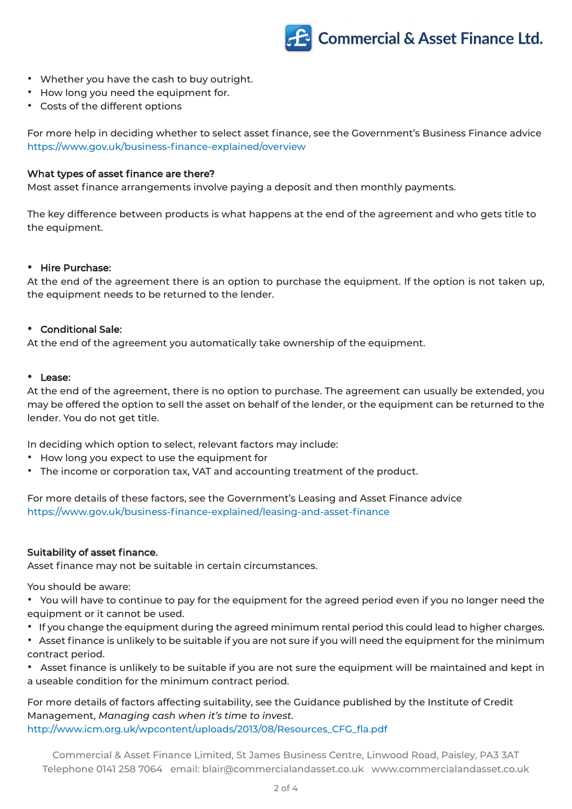# **Commercial & Asset Finance Ltd.**

- Whether you have the cash to buy outright.
- How long you need the equipment for.
- Costs of the different options

For more help in deciding whether to select asset finance, see the Government's Business Finance advice <https://www.gov.uk/business-finance-explained/overview>

#### What types of asset finance are there?

Most asset finance arrangements involve paying a deposit and then monthly payments.

The key difference between products is what happens at the end of the agreement and who gets title to the equipment.

#### • Hire Purchase:

At the end of the agreement there is an option to purchase the equipment. If the option is not taken up, the equipment needs to be returned to the lender.

#### • Conditional Sale:

At the end of the agreement you automatically take ownership of the equipment.

#### • Lease:

At the end of the agreement, there is no option to purchase. The agreement can usually be extended, you may be offered the option to sell the asset on behalf of the lender, or the equipment can be returned to the lender. You do not get title.

In deciding which option to select, relevant factors may include:

- How long you expect to use the equipment for
- The income or corporation tax, VAT and accounting treatment of the product.

For more details of these factors, see the Government's Leasing and Asset Finance advice <https://www.gov.uk/business-finance-explained/leasing-and-asset-finance>

#### Suitability of asset finance.

Asset finance may not be suitable in certain circumstances.

You should be aware:

• You will have to continue to pay for the equipment for the agreed period even if you no longer need the equipment or it cannot be used.

- If you change the equipment during the agreed minimum rental period this could lead to higher charges.
- Asset finance is unlikely to be suitable if you are not sure if you will need the equipment for the minimum contract period.

• Asset finance is unlikely to be suitable if you are not sure the equipment will be maintained and kept in a useable condition for the minimum contract period.

For more details of factors affecting suitability, see the Guidance published by the Institute of Credit Management, *Managing cash when it's time to invest.* [http://www.icm.org.uk/wpcontent/uploads/2013/08/Resources\\_CFG\\_fla.pdf](http://www.icm.org.uk/wpcontent/uploads/2013/08/Resources_CFG_fla.pdf
)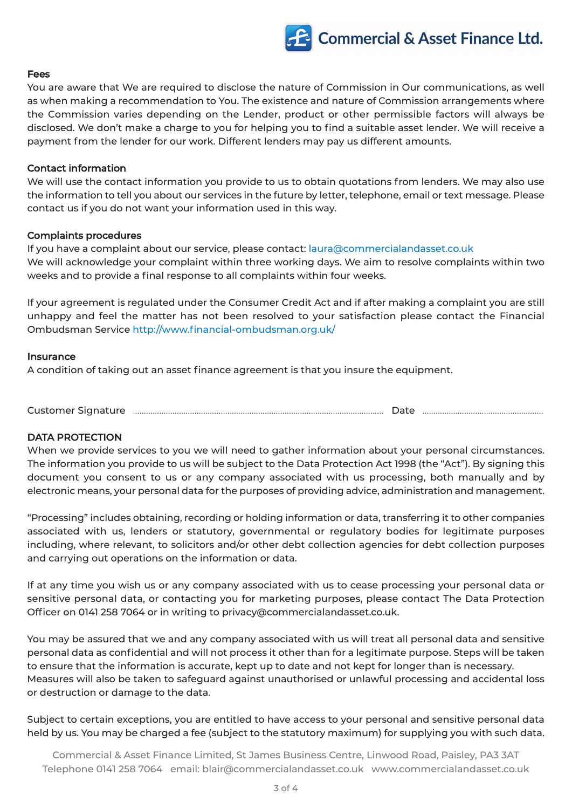# **Commercial & Asset Finance Ltd.**

#### Fees

You are aware that We are required to disclose the nature of Commission in Our communications, as well as when making a recommendation to You. The existence and nature of Commission arrangements where the Commission varies depending on the Lender, product or other permissible factors will always be disclosed. We don't make a charge to you for helping you to find a suitable asset lender. We will receive a payment from the lender for our work. Different lenders may pay us different amounts.

#### Contact information

We will use the contact information you provide to us to obtain quotations from lenders. We may also use the information to tell you about our services in the future by letter, telephone, email or text message. Please contact us if you do not want your information used in this way.

#### Complaints procedures

If you have a complaint about our service, please contact: [laura@commercialandasset.co.uk](mailto:laura@commercialandasset.co.uk) We will acknowledge your complaint within three working days. We aim to resolve complaints within two weeks and to provide a final response to all complaints within four weeks.

If your agreement is regulated under the Consumer Credit Act and if after making a complaint you are still unhappy and feel the matter has not been resolved to your satisfaction please contact the Financial Ombudsman Service <http://www.financial-ombudsman.org.uk/>

#### Insurance

A condition of taking out an asset finance agreement is that you insure the equipment.

Customer Signature .................................................................................................................. Date .......................................................

#### DATA PROTECTION

When we provide services to you we will need to gather information about your personal circumstances. The information you provide to us will be subject to the Data Protection Act 1998 (the "Act"). By signing this document you consent to us or any company associated with us processing, both manually and by electronic means, your personal data for the purposes of providing advice, administration and management.

"Processing" includes obtaining, recording or holding information or data, transferring it to other companies associated with us, lenders or statutory, governmental or regulatory bodies for legitimate purposes including, where relevant, to solicitors and/or other debt collection agencies for debt collection purposes and carrying out operations on the information or data.

If at any time you wish us or any company associated with us to cease processing your personal data or sensitive personal data, or contacting you for marketing purposes, please contact The Data Protection Officer on 0141 258 7064 or in writing to privacy@commercialandasset.co.uk.

You may be assured that we and any company associated with us will treat all personal data and sensitive personal data as confidential and will not process it other than for a legitimate purpose. Steps will be taken to ensure that the information is accurate, kept up to date and not kept for longer than is necessary. Measures will also be taken to safeguard against unauthorised or unlawful processing and accidental loss or destruction or damage to the data.

Subject to certain exceptions, you are entitled to have access to your personal and sensitive personal data held by us. You may be charged a fee (subject to the statutory maximum) for supplying you with such data.